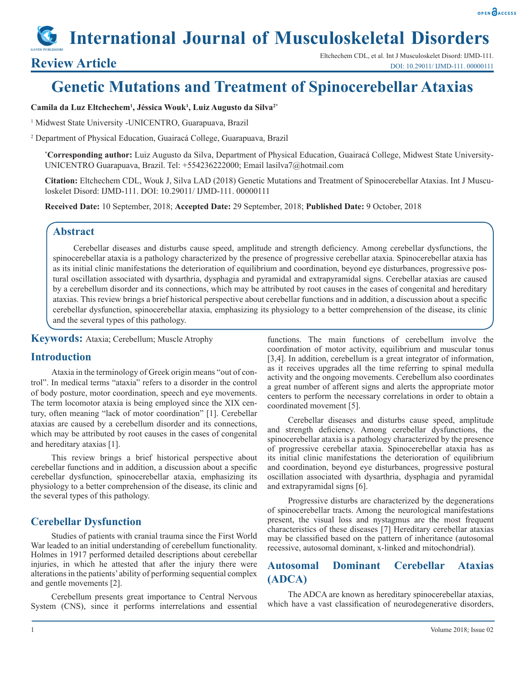#### OPEN OACCESS

# **International Journal of Musculoskeletal Disorders**

## **Genetic Mutations and Treatment of Spinocerebellar Ataxias**

#### **Camila da Luz Eltchechem1 , Jéssica Wouk1 , Luiz Augusto da Silva2\***

<sup>1</sup> Midwest State University -UNICENTRO, Guarapuava, Brazil

2 Department of Physical Education, Guairacá College, Guarapuava, Brazil

**\* Corresponding author:** Luiz Augusto da Silva, Department of Physical Education, Guairacá College, Midwest State University-UNICENTRO Guarapuava, Brazil. Tel: +554236222000; Email lasilva7@hotmail.com

**Citation:** Eltchechem CDL, Wouk J, Silva LAD (2018) Genetic Mutations and Treatment of Spinocerebellar Ataxias. Int J Musculoskelet Disord: IJMD-111. DOI: 10.29011/ IJMD-111. 00000111

**Received Date:** 10 September, 2018; **Accepted Date:** 29 September, 2018; **Published Date:** 9 October, 2018

#### **Abstract**

Cerebellar diseases and disturbs cause speed, amplitude and strength deficiency. Among cerebellar dysfunctions, the spinocerebellar ataxia is a pathology characterized by the presence of progressive cerebellar ataxia. Spinocerebellar ataxia has as its initial clinic manifestations the deterioration of equilibrium and coordination, beyond eye disturbances, progressive postural oscillation associated with dysarthria, dysphagia and pyramidal and extrapyramidal signs. Cerebellar ataxias are caused by a cerebellum disorder and its connections, which may be attributed by root causes in the cases of congenital and hereditary ataxias. This review brings a brief historical perspective about cerebellar functions and in addition, a discussion about a specific cerebellar dysfunction, spinocerebellar ataxia, emphasizing its physiology to a better comprehension of the disease, its clinic and the several types of this pathology.

**Keywords:** Ataxia; Cerebellum; Muscle Atrophy

#### **Introduction**

Ataxia in the terminology of Greek origin means "out of control". In medical terms "ataxia" refers to a disorder in the control of body posture, motor coordination, speech and eye movements. The term locomotor ataxia is being employed since the XIX century, often meaning "lack of motor coordination" [1]. Cerebellar ataxias are caused by a cerebellum disorder and its connections, which may be attributed by root causes in the cases of congenital and hereditary ataxias [1].

This review brings a brief historical perspective about cerebellar functions and in addition, a discussion about a specific cerebellar dysfunction, spinocerebellar ataxia, emphasizing its physiology to a better comprehension of the disease, its clinic and the several types of this pathology.

#### **Cerebellar Dysfunction**

Studies of patients with cranial trauma since the First World War leaded to an initial understanding of cerebellum functionality. Holmes in 1917 performed detailed descriptions about cerebellar injuries, in which he attested that after the injury there were alterations in the patients' ability of performing sequential complex and gentle movements [2].

Cerebellum presents great importance to Central Nervous System (CNS), since it performs interrelations and essential functions. The main functions of cerebellum involve the coordination of motor activity, equilibrium and muscular tonus [3,4]. In addition, cerebellum is a great integrator of information, as it receives upgrades all the time referring to spinal medulla activity and the ongoing movements. Cerebellum also coordinates a great number of afferent signs and alerts the appropriate motor centers to perform the necessary correlations in order to obtain a coordinated movement [5].

Cerebellar diseases and disturbs cause speed, amplitude and strength deficiency. Among cerebellar dysfunctions, the spinocerebellar ataxia is a pathology characterized by the presence of progressive cerebellar ataxia. Spinocerebellar ataxia has as its initial clinic manifestations the deterioration of equilibrium and coordination, beyond eye disturbances, progressive postural oscillation associated with dysarthria, dysphagia and pyramidal and extrapyramidal signs [6].

Progressive disturbs are characterized by the degenerations of spinocerebellar tracts. Among the neurological manifestations present, the visual loss and nystagmus are the most frequent characteristics of these diseases [7] Hereditary cerebellar ataxias may be classified based on the pattern of inheritance (autosomal recessive, autosomal dominant, x-linked and mitochondrial).

#### **Autosomal Dominant Cerebellar Ataxias (ADCA)**

The ADCA are known as hereditary spinocerebellar ataxias, which have a vast classification of neurodegenerative disorders,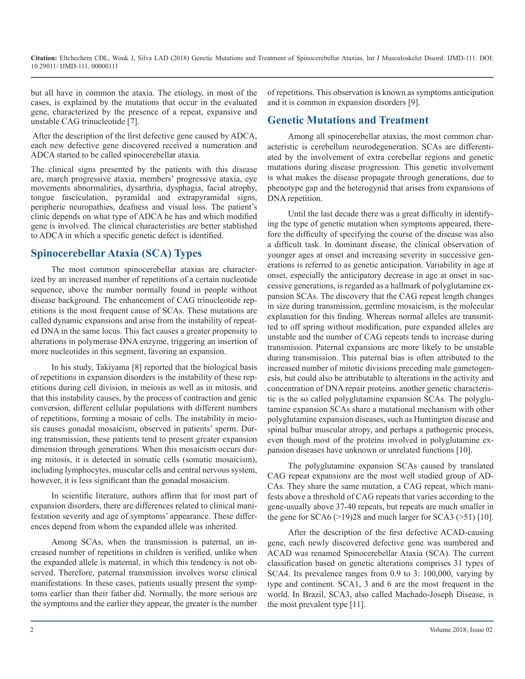**Citation:** Eltchechem CDL, Wouk J, Silva LAD (2018) Genetic Mutations and Treatment of Spinocerebellar Ataxias. Int J Musculoskelet Disord: IJMD-111. DOI: 10.29011/ IJMD-111. 00000111

but all have in common the ataxia. The etiology, in most of the cases, is explained by the mutations that occur in the evaluated gene, characterized by the presence of a repeat, expansive and unstable CAG trinucleotide [7].

 After the description of the first defective gene caused by ADCA, each new defective gene discovered received a numeration and ADCA started to be called spinocerebellar ataxia.

The clinical signs presented by the patients with this disease are, march progressive ataxia, members' progressive ataxia, eye movements abnormalities, dysarthria, dysphagia, facial atrophy, tongue fasciculation, pyramidal and extrapyramidal signs, peripheric neuropathies, deafness and visual loss. The patient's clinic depends on what type of ADCA he has and which modified gene is involved. The clinical characteristics are better stablished to ADCA in which a specific genetic defect is identified.

### **Spinocerebellar Ataxia (SCA) Types**

The most common spinocerebellar ataxias are characterized by an increased number of repetitions of a certain nucleotide sequence, above the number normally found in people without disease background. The enhancement of CAG trinucleotide repetitions is the most frequent cause of SCAs. These mutations are called dynamic expansions and arise from the instability of repeated DNA in the same locus. This fact causes a greater propensity to alterations in polymerase DNA enzyme, triggering an insertion of more nucleotides in this segment, favoring an expansion.

In his study, Takiyama [8] reported that the biological basis of repetitions in expansion disorders is the instability of these repetitions during cell division, in meiosis as well as in mitosis, and that this instability causes, by the process of contraction and genic conversion, different cellular populations with different numbers of repetitions, forming a mosaic of cells. The instability in meiosis causes gonadal mosaicism, observed in patients' sperm. During transmission, these patients tend to present greater expansion dimension through generations. When this mosaicism occurs during mitosis, it is detected in somatic cells (somatic mosaicism), including lymphocytes, muscular cells and central nervous system, however, it is less significant than the gonadal mosaicism.

In scientific literature, authors affirm that for most part of expansion disorders, there are differences related to clinical manifestation severity and age of symptoms' appearance. These differences depend from whom the expanded allele was inherited.

Among SCAs, when the transmission is paternal, an increased number of repetitions in children is verified, unlike when the expanded allele is maternal, in which this tendency is not observed. Therefore, paternal transmission involves worse clinical manifestations. In these cases, patients usually present the symptoms earlier than their father did. Normally, the more serious are the symptoms and the earlier they appear, the greater is the number of repetitions. This observation is known as symptoms anticipation and it is common in expansion disorders [9].

#### **Genetic Mutations and Treatment**

Among all spinocerebellar ataxias, the most common characteristic is cerebellum neurodegeneration. SCAs are differentiated by the involvement of extra cerebellar regions and genetic mutations during disease progression. This genetic involvement is what makes the disease propagate through generations, due to phenotype gap and the heterogynid that arises from expansions of DNA repetition.

Until the last decade there was a great difficulty in identifying the type of genetic mutation when symptoms appeared, therefore the difficulty of specifying the course of the disease was also a difficult task. In dominant disease, the clinical observation of younger ages at onset and increasing severity in successive generations is referred to as genetic anticipation. Variability in age at onset, especially the anticipatory decrease in age at onset in successive generations, is regarded as a hallmark of polyglutamine expansion SCAs. The discovery that the CAG repeat length changes in size during transmission, germline mosaicism, is the molecular explanation for this finding. Whereas normal alleles are transmitted to off spring without modification, pure expanded alleles are unstable and the number of CAG repeats tends to increase during transmission. Paternal expansions are more likely to be unstable during transmission. This paternal bias is often attributed to the increased number of mitotic divisions preceding male gametogenesis, but could also be attributable to alterations in the activity and concentration of DNA repair proteins. another genetic characteristic is the so called polyglutamine expansion SCAs. The polyglutamine expansion SCAs share a mutational mechanism with other polyglutamine expansion diseases, such as Huntington disease and spinal bulbar muscular atropy, and perhaps a pathogenic process, even though most of the proteins involved in polyglutamine expansion diseases have unknown or unrelated functions [10].

The polyglutamine expansion SCAs caused by translated CAG repeat expansions are the most well studied group of AD-CAs. They share the same mutation, a CAG repeat, which manifests above a threshold of CAG repeats that varies according to the gene-usually above 37-40 repeats, but repeats are much smaller in the gene for  $SCA6$  ( $>19$ )28 and much larger for  $SCA3$  ( $>51$ ) [10].

After the description of the first defective ACAD-causing gene, each newly discovered defective gene was numbered and ACAD was renamed Spinocerebellar Ataxia (SCA). The current classification based on genetic alterations comprises 31 types of SCA4. Its prevalence ranges from 0.9 to 3: 100,000, varying by type and continent. SCA1, 3 and 6 are the most frequent in the world. In Brazil, SCA3, also called Machado-Joseph Disease, is the most prevalent type [11].